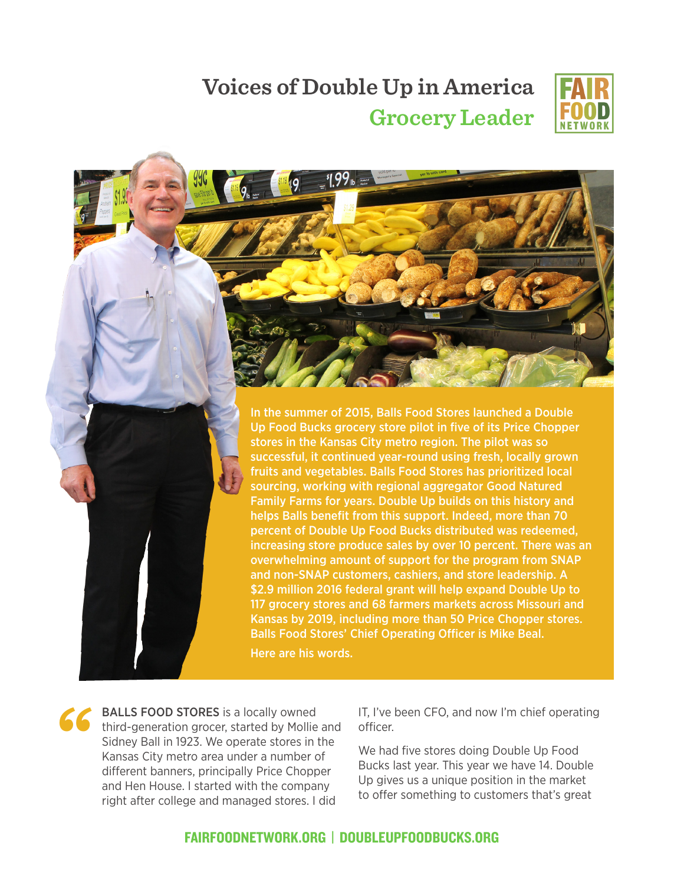

## **Voices of Double Up in America Grocery Leader**

49



Here are his words.

**"** BALLS FOOD STORES is a locally owned third-generation grocer, started by Mollie and Sidney Ball in 1923. We operate stores in the Kansas City metro area under a number of different banners, principally Price Chopper and Hen House. I started with the company right after college and managed stores. I did

IT, I've been CFO, and now I'm chief operating officer.

We had five stores doing Double Up Food Bucks last year. This year we have 14. Double Up gives us a unique position in the market to offer something to customers that's great

## FAIRFOODNETWORK.ORG | DOUBLEUPFOODBUCKS.ORG